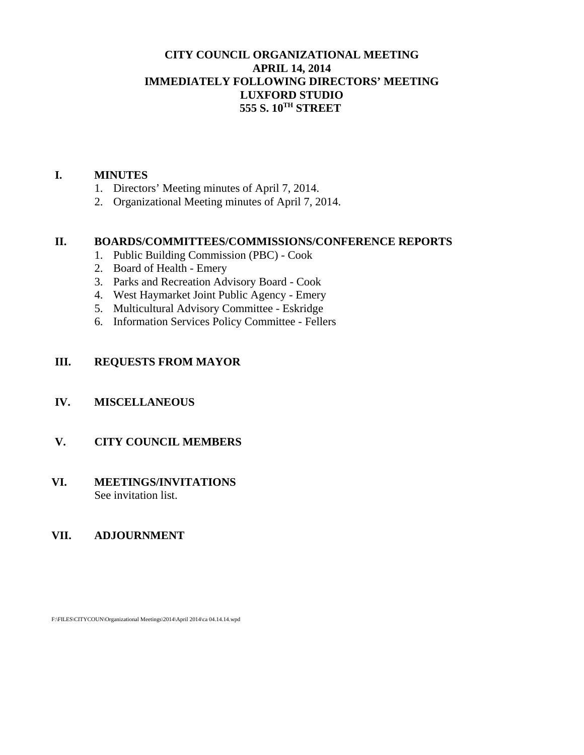## **CITY COUNCIL ORGANIZATIONAL MEETING APRIL 14, 2014 IMMEDIATELY FOLLOWING DIRECTORS' MEETING LUXFORD STUDIO 555 S. 10TH STREET**

#### **I. MINUTES**

- 1. Directors' Meeting minutes of April 7, 2014.
- 2. Organizational Meeting minutes of April 7, 2014.

#### **II. BOARDS/COMMITTEES/COMMISSIONS/CONFERENCE REPORTS**

- 1. Public Building Commission (PBC) Cook
- 2. Board of Health Emery
- 3. Parks and Recreation Advisory Board Cook
- 4. West Haymarket Joint Public Agency Emery
- 5. Multicultural Advisory Committee Eskridge
- 6. Information Services Policy Committee Fellers

## **III. REQUESTS FROM MAYOR**

## **IV. MISCELLANEOUS**

## **V. CITY COUNCIL MEMBERS**

#### **VI. MEETINGS/INVITATIONS** See invitation list.

## **VII. ADJOURNMENT**

F:\FILES\CITYCOUN\Organizational Meetings\2014\April 2014\ca 04.14.14.wpd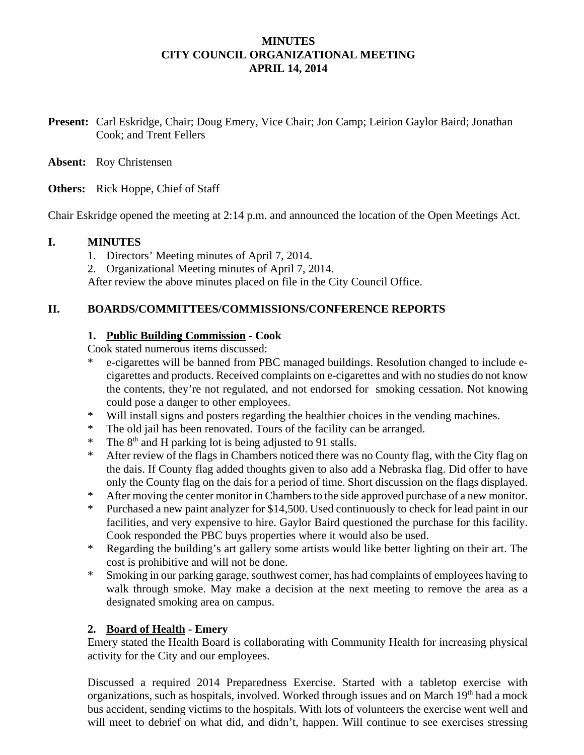### **MINUTES CITY COUNCIL ORGANIZATIONAL MEETING APRIL 14, 2014**

- **Present:** Carl Eskridge, Chair; Doug Emery, Vice Chair; Jon Camp; Leirion Gaylor Baird; Jonathan Cook; and Trent Fellers
- **Absent:** Roy Christensen
- **Others:** Rick Hoppe, Chief of Staff

Chair Eskridge opened the meeting at 2:14 p.m. and announced the location of the Open Meetings Act.

#### **I. MINUTES**

- 1. Directors' Meeting minutes of April 7, 2014.
- 2. Organizational Meeting minutes of April 7, 2014.

After review the above minutes placed on file in the City Council Office.

#### **II. BOARDS/COMMITTEES/COMMISSIONS/CONFERENCE REPORTS**

#### **1. Public Building Commission - Cook**

Cook stated numerous items discussed:

- \* e-cigarettes will be banned from PBC managed buildings. Resolution changed to include ecigarettes and products. Received complaints on e-cigarettes and with no studies do not know the contents, they're not regulated, and not endorsed for smoking cessation. Not knowing could pose a danger to other employees.
- \* Will install signs and posters regarding the healthier choices in the vending machines.
- \* The old jail has been renovated. Tours of the facility can be arranged.
- \* The  $8<sup>th</sup>$  and H parking lot is being adjusted to 91 stalls.
- \* After review of the flags in Chambers noticed there was no County flag, with the City flag on the dais. If County flag added thoughts given to also add a Nebraska flag. Did offer to have only the County flag on the dais for a period of time. Short discussion on the flags displayed.
- \* After moving the center monitor in Chambers to the side approved purchase of a new monitor.
- \* Purchased a new paint analyzer for \$14,500. Used continuously to check for lead paint in our facilities, and very expensive to hire. Gaylor Baird questioned the purchase for this facility. Cook responded the PBC buys properties where it would also be used.
- \* Regarding the building's art gallery some artists would like better lighting on their art. The cost is prohibitive and will not be done.
- \* Smoking in our parking garage, southwest corner, has had complaints of employees having to walk through smoke. May make a decision at the next meeting to remove the area as a designated smoking area on campus.

#### **2. Board of Health - Emery**

Emery stated the Health Board is collaborating with Community Health for increasing physical activity for the City and our employees.

Discussed a required 2014 Preparedness Exercise. Started with a tabletop exercise with organizations, such as hospitals, involved. Worked through issues and on March  $19<sup>th</sup>$  had a mock bus accident, sending victims to the hospitals. With lots of volunteers the exercise went well and will meet to debrief on what did, and didn't, happen. Will continue to see exercises stressing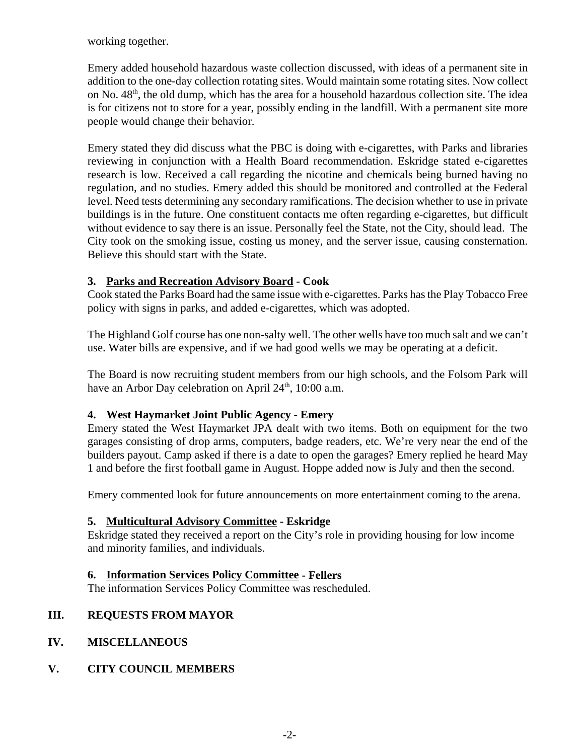working together.

Emery added household hazardous waste collection discussed, with ideas of a permanent site in addition to the one-day collection rotating sites. Would maintain some rotating sites. Now collect on No. 48<sup>th</sup>, the old dump, which has the area for a household hazardous collection site. The idea is for citizens not to store for a year, possibly ending in the landfill. With a permanent site more people would change their behavior.

Emery stated they did discuss what the PBC is doing with e-cigarettes, with Parks and libraries reviewing in conjunction with a Health Board recommendation. Eskridge stated e-cigarettes research is low. Received a call regarding the nicotine and chemicals being burned having no regulation, and no studies. Emery added this should be monitored and controlled at the Federal level. Need tests determining any secondary ramifications. The decision whether to use in private buildings is in the future. One constituent contacts me often regarding e-cigarettes, but difficult without evidence to say there is an issue. Personally feel the State, not the City, should lead. The City took on the smoking issue, costing us money, and the server issue, causing consternation. Believe this should start with the State.

## **3. Parks and Recreation Advisory Board - Cook**

Cook stated the Parks Board had the same issue with e-cigarettes. Parks has the Play Tobacco Free policy with signs in parks, and added e-cigarettes, which was adopted.

The Highland Golf course has one non-salty well. The other wells have too much salt and we can't use. Water bills are expensive, and if we had good wells we may be operating at a deficit.

The Board is now recruiting student members from our high schools, and the Folsom Park will have an Arbor Day celebration on April  $24<sup>th</sup>$ , 10:00 a.m.

## **4. West Haymarket Joint Public Agency - Emery**

Emery stated the West Haymarket JPA dealt with two items. Both on equipment for the two garages consisting of drop arms, computers, badge readers, etc. We're very near the end of the builders payout. Camp asked if there is a date to open the garages? Emery replied he heard May 1 and before the first football game in August. Hoppe added now is July and then the second.

Emery commented look for future announcements on more entertainment coming to the arena.

## **5. Multicultural Advisory Committee - Eskridge**

Eskridge stated they received a report on the City's role in providing housing for low income and minority families, and individuals.

## **6. Information Services Policy Committee - Fellers**

The information Services Policy Committee was rescheduled.

## **III. REQUESTS FROM MAYOR**

- **IV. MISCELLANEOUS**
- **V. CITY COUNCIL MEMBERS**